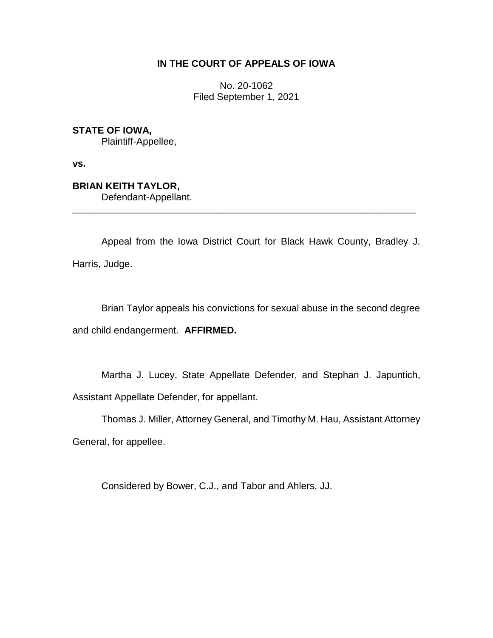# **IN THE COURT OF APPEALS OF IOWA**

No. 20-1062 Filed September 1, 2021

**STATE OF IOWA,**

Plaintiff-Appellee,

**vs.**

**BRIAN KEITH TAYLOR,** Defendant-Appellant.

Appeal from the Iowa District Court for Black Hawk County, Bradley J. Harris, Judge.

\_\_\_\_\_\_\_\_\_\_\_\_\_\_\_\_\_\_\_\_\_\_\_\_\_\_\_\_\_\_\_\_\_\_\_\_\_\_\_\_\_\_\_\_\_\_\_\_\_\_\_\_\_\_\_\_\_\_\_\_\_\_\_\_

Brian Taylor appeals his convictions for sexual abuse in the second degree and child endangerment. **AFFIRMED.**

Martha J. Lucey, State Appellate Defender, and Stephan J. Japuntich, Assistant Appellate Defender, for appellant.

Thomas J. Miller, Attorney General, and Timothy M. Hau, Assistant Attorney General, for appellee.

Considered by Bower, C.J., and Tabor and Ahlers, JJ.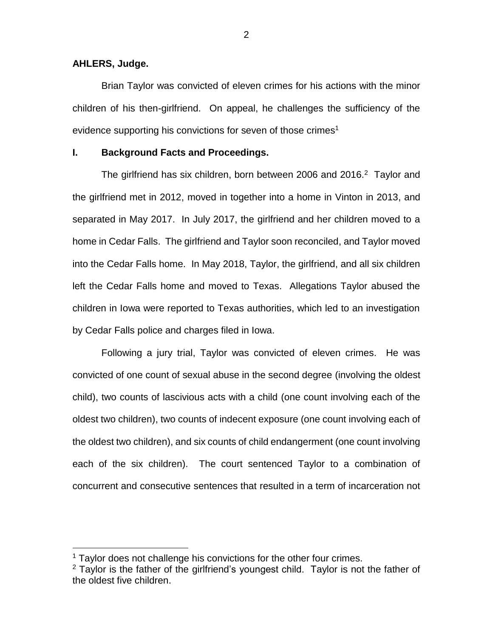### **AHLERS, Judge.**

 $\overline{a}$ 

Brian Taylor was convicted of eleven crimes for his actions with the minor children of his then-girlfriend. On appeal, he challenges the sufficiency of the evidence supporting his convictions for seven of those crimes<sup>1</sup>

### **I. Background Facts and Proceedings.**

The girlfriend has six children, born between 2006 and 2016. $2$  Taylor and the girlfriend met in 2012, moved in together into a home in Vinton in 2013, and separated in May 2017. In July 2017, the girlfriend and her children moved to a home in Cedar Falls. The girlfriend and Taylor soon reconciled, and Taylor moved into the Cedar Falls home. In May 2018, Taylor, the girlfriend, and all six children left the Cedar Falls home and moved to Texas. Allegations Taylor abused the children in Iowa were reported to Texas authorities, which led to an investigation by Cedar Falls police and charges filed in Iowa.

Following a jury trial, Taylor was convicted of eleven crimes. He was convicted of one count of sexual abuse in the second degree (involving the oldest child), two counts of lascivious acts with a child (one count involving each of the oldest two children), two counts of indecent exposure (one count involving each of the oldest two children), and six counts of child endangerment (one count involving each of the six children). The court sentenced Taylor to a combination of concurrent and consecutive sentences that resulted in a term of incarceration not

<sup>&</sup>lt;sup>1</sup> Taylor does not challenge his convictions for the other four crimes.

 $2$  Taylor is the father of the girlfriend's youngest child. Taylor is not the father of the oldest five children.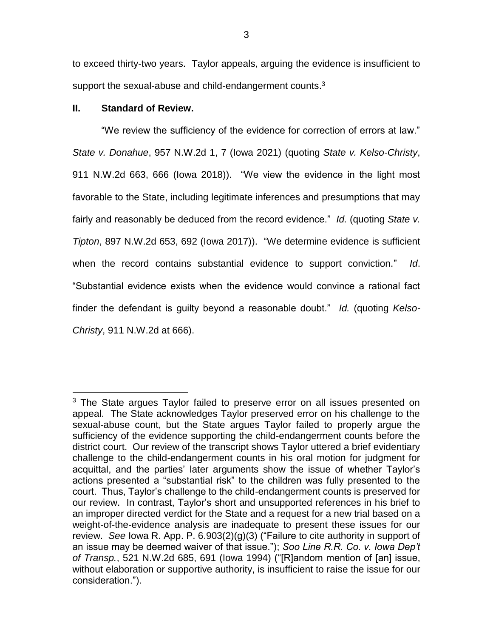to exceed thirty-two years. Taylor appeals, arguing the evidence is insufficient to support the sexual-abuse and child-endangerment counts.<sup>3</sup>

# **II. Standard of Review.**

 $\overline{a}$ 

"We review the sufficiency of the evidence for correction of errors at law." *State v. Donahue*, 957 N.W.2d 1, 7 (Iowa 2021) (quoting *State v. Kelso-Christy*, 911 N.W.2d 663, 666 (Iowa 2018)). "We view the evidence in the light most favorable to the State, including legitimate inferences and presumptions that may fairly and reasonably be deduced from the record evidence." *Id.* (quoting *State v. Tipton*, 897 N.W.2d 653, 692 (Iowa 2017)). "We determine evidence is sufficient when the record contains substantial evidence to support conviction." *Id*. "Substantial evidence exists when the evidence would convince a rational fact finder the defendant is guilty beyond a reasonable doubt." *Id.* (quoting *Kelso-Christy*, 911 N.W.2d at 666).

<sup>&</sup>lt;sup>3</sup> The State argues Taylor failed to preserve error on all issues presented on appeal. The State acknowledges Taylor preserved error on his challenge to the sexual-abuse count, but the State argues Taylor failed to properly argue the sufficiency of the evidence supporting the child-endangerment counts before the district court. Our review of the transcript shows Taylor uttered a brief evidentiary challenge to the child-endangerment counts in his oral motion for judgment for acquittal, and the parties' later arguments show the issue of whether Taylor's actions presented a "substantial risk" to the children was fully presented to the court. Thus, Taylor's challenge to the child-endangerment counts is preserved for our review. In contrast, Taylor's short and unsupported references in his brief to an improper directed verdict for the State and a request for a new trial based on a weight-of-the-evidence analysis are inadequate to present these issues for our review. *See* Iowa R. App. P. 6.903(2)(g)(3) ("Failure to cite authority in support of an issue may be deemed waiver of that issue."); *Soo Line R.R. Co. v. Iowa Dep't of Transp.*, 521 N.W.2d 685, 691 (Iowa 1994) ("[R]andom mention of [an] issue, without elaboration or supportive authority, is insufficient to raise the issue for our consideration.").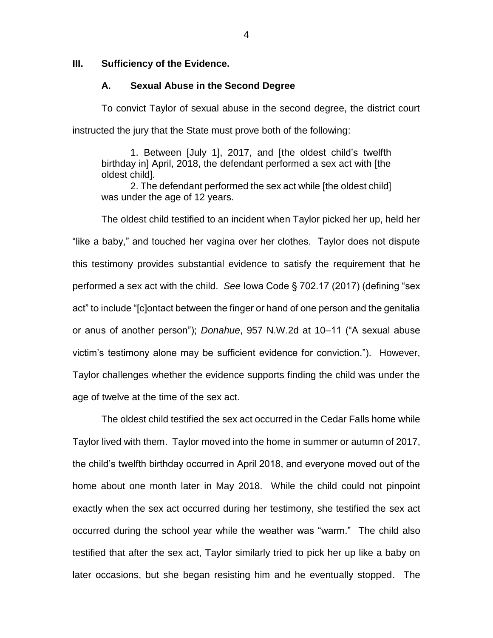## **III. Sufficiency of the Evidence.**

### **A. Sexual Abuse in the Second Degree**

To convict Taylor of sexual abuse in the second degree, the district court instructed the jury that the State must prove both of the following:

1. Between [July 1], 2017, and [the oldest child's twelfth birthday in] April, 2018, the defendant performed a sex act with [the oldest child].

2. The defendant performed the sex act while [the oldest child] was under the age of 12 years.

The oldest child testified to an incident when Taylor picked her up, held her "like a baby," and touched her vagina over her clothes. Taylor does not dispute this testimony provides substantial evidence to satisfy the requirement that he performed a sex act with the child. *See* Iowa Code § 702.17 (2017) (defining "sex act" to include "[c]ontact between the finger or hand of one person and the genitalia or anus of another person"); *Donahue*, 957 N.W.2d at 10–11 ("A sexual abuse victim's testimony alone may be sufficient evidence for conviction."). However, Taylor challenges whether the evidence supports finding the child was under the age of twelve at the time of the sex act.

The oldest child testified the sex act occurred in the Cedar Falls home while Taylor lived with them. Taylor moved into the home in summer or autumn of 2017, the child's twelfth birthday occurred in April 2018, and everyone moved out of the home about one month later in May 2018. While the child could not pinpoint exactly when the sex act occurred during her testimony, she testified the sex act occurred during the school year while the weather was "warm." The child also testified that after the sex act, Taylor similarly tried to pick her up like a baby on later occasions, but she began resisting him and he eventually stopped. The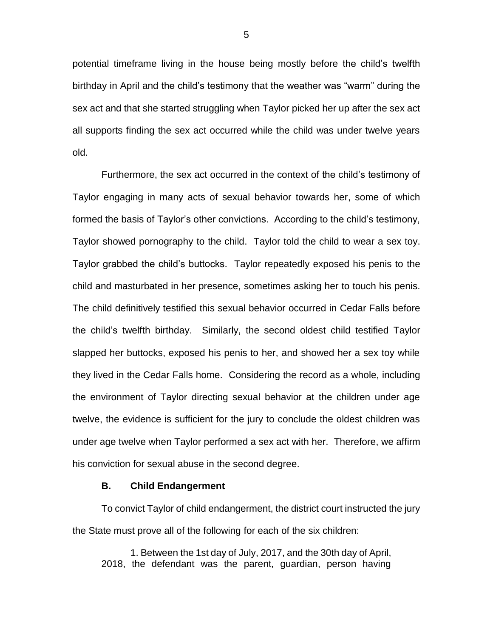potential timeframe living in the house being mostly before the child's twelfth birthday in April and the child's testimony that the weather was "warm" during the sex act and that she started struggling when Taylor picked her up after the sex act all supports finding the sex act occurred while the child was under twelve years old.

Furthermore, the sex act occurred in the context of the child's testimony of Taylor engaging in many acts of sexual behavior towards her, some of which formed the basis of Taylor's other convictions. According to the child's testimony, Taylor showed pornography to the child. Taylor told the child to wear a sex toy. Taylor grabbed the child's buttocks. Taylor repeatedly exposed his penis to the child and masturbated in her presence, sometimes asking her to touch his penis. The child definitively testified this sexual behavior occurred in Cedar Falls before the child's twelfth birthday. Similarly, the second oldest child testified Taylor slapped her buttocks, exposed his penis to her, and showed her a sex toy while they lived in the Cedar Falls home. Considering the record as a whole, including the environment of Taylor directing sexual behavior at the children under age twelve, the evidence is sufficient for the jury to conclude the oldest children was under age twelve when Taylor performed a sex act with her. Therefore, we affirm his conviction for sexual abuse in the second degree.

### **B. Child Endangerment**

To convict Taylor of child endangerment, the district court instructed the jury the State must prove all of the following for each of the six children:

1. Between the 1st day of July, 2017, and the 30th day of April, 2018, the defendant was the parent, guardian, person having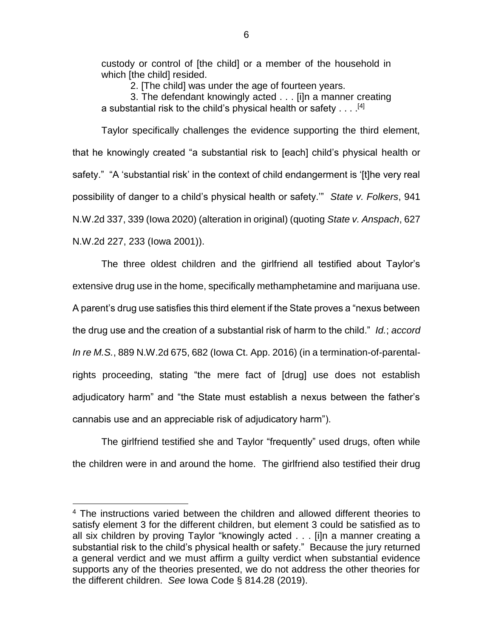custody or control of [the child] or a member of the household in which [the child] resided.

2. [The child] was under the age of fourteen years.

3. The defendant knowingly acted . . . [i]n a manner creating a substantial risk to the child's physical health or safety  $\dots$  .<sup>[4]</sup>

Taylor specifically challenges the evidence supporting the third element, that he knowingly created "a substantial risk to [each] child's physical health or safety." "A 'substantial risk' in the context of child endangerment is '[t]he very real possibility of danger to a child's physical health or safety.'" *State v. Folkers*, 941 N.W.2d 337, 339 (Iowa 2020) (alteration in original) (quoting *State v. Anspach*, 627 N.W.2d 227, 233 (Iowa 2001)).

The three oldest children and the girlfriend all testified about Taylor's extensive drug use in the home, specifically methamphetamine and marijuana use. A parent's drug use satisfies this third element if the State proves a "nexus between the drug use and the creation of a substantial risk of harm to the child." *Id.*; *accord In re M.S.*, 889 N.W.2d 675, 682 (Iowa Ct. App. 2016) (in a termination-of-parentalrights proceeding, stating "the mere fact of [drug] use does not establish adjudicatory harm" and "the State must establish a nexus between the father's cannabis use and an appreciable risk of adjudicatory harm").

The girlfriend testified she and Taylor "frequently" used drugs, often while the children were in and around the home. The girlfriend also testified their drug

 $\overline{a}$ 

<sup>&</sup>lt;sup>4</sup> The instructions varied between the children and allowed different theories to satisfy element 3 for the different children, but element 3 could be satisfied as to all six children by proving Taylor "knowingly acted . . . [i]n a manner creating a substantial risk to the child's physical health or safety." Because the jury returned a general verdict and we must affirm a guilty verdict when substantial evidence supports any of the theories presented, we do not address the other theories for the different children. *See* Iowa Code § 814.28 (2019).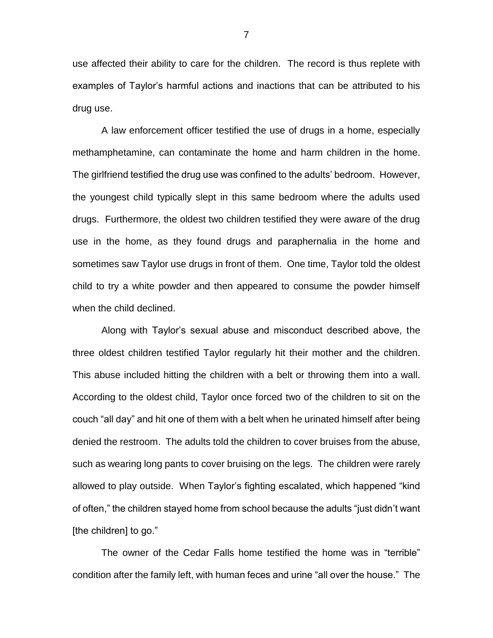use affected their ability to care for the children. The record is thus replete with examples of Taylor's harmful actions and inactions that can be attributed to his drug use.

A law enforcement officer testified the use of drugs in a home, especially methamphetamine, can contaminate the home and harm children in the home. The girlfriend testified the drug use was confined to the adults' bedroom. However, the youngest child typically slept in this same bedroom where the adults used drugs. Furthermore, the oldest two children testified they were aware of the drug use in the home, as they found drugs and paraphernalia in the home and sometimes saw Taylor use drugs in front of them. One time, Taylor told the oldest child to try a white powder and then appeared to consume the powder himself when the child declined.

Along with Taylor's sexual abuse and misconduct described above, the three oldest children testified Taylor regularly hit their mother and the children. This abuse included hitting the children with a belt or throwing them into a wall. According to the oldest child, Taylor once forced two of the children to sit on the couch "all day" and hit one of them with a belt when he urinated himself after being denied the restroom. The adults told the children to cover bruises from the abuse, such as wearing long pants to cover bruising on the legs. The children were rarely allowed to play outside. When Taylor's fighting escalated, which happened "kind of often," the children stayed home from school because the adults "just didn't want [the children] to go."

The owner of the Cedar Falls home testified the home was in "terrible" condition after the family left, with human feces and urine "all over the house." The

7